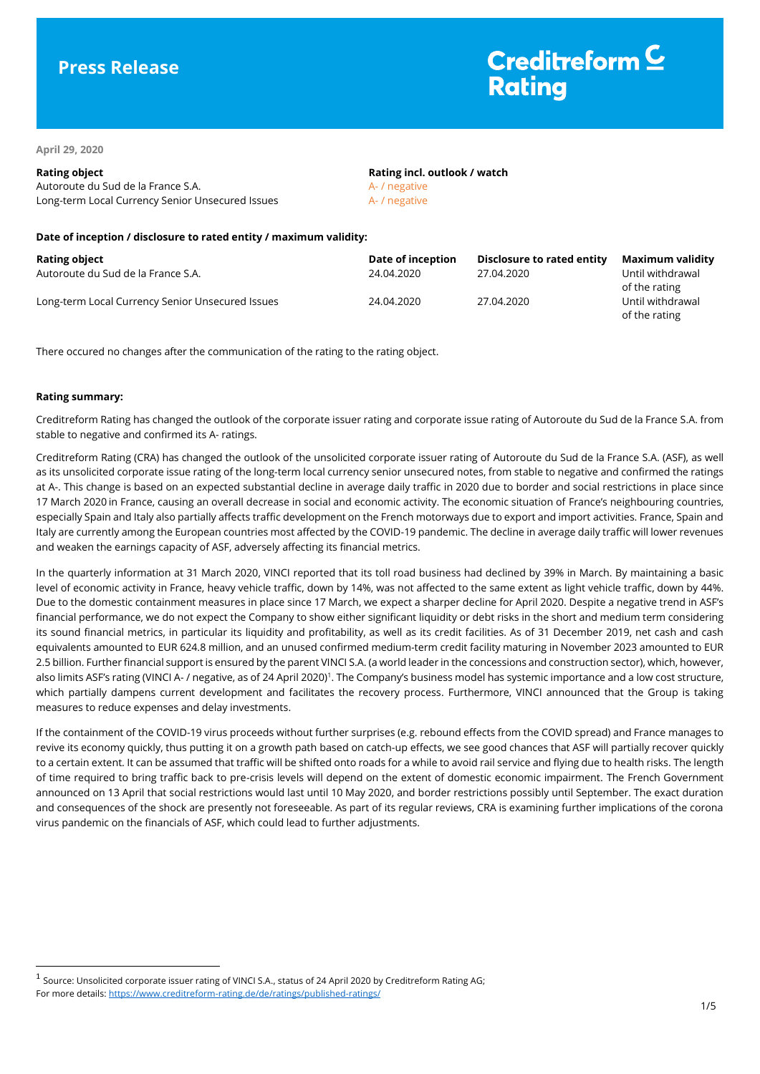# **Press Release**

# Creditreform<sup>C</sup> **Rating**

**April 29, 2020**

# **Rating object Rating incl. outlook / watch** Autoroute du Sud de la France S.A. Autoroute du Sud de la France S.A. Long-term Local Currency Senior Unsecured Issues A- / negative

### **Date of inception / disclosure to rated entity / maximum validity:**

| <b>Rating object</b>                             | Date of inception | Disclosure to rated entity | Maximum validity                  |
|--------------------------------------------------|-------------------|----------------------------|-----------------------------------|
| Autoroute du Sud de la France S.A.               | 24.04.2020        | 27.04.2020                 | Until withdrawal                  |
|                                                  |                   |                            | of the rating                     |
| Long-term Local Currency Senior Unsecured Issues | 24.04.2020        | 27.04.2020                 | Until withdrawal<br>of the rating |

There occured no changes after the communication of the rating to the rating object.

## **Rating summary:**

 $\overline{a}$ 

Creditreform Rating has changed the outlook of the corporate issuer rating and corporate issue rating of Autoroute du Sud de la France S.A. from stable to negative and confirmed its A- ratings.

Creditreform Rating (CRA) has changed the outlook of the unsolicited corporate issuer rating of Autoroute du Sud de la France S.A. (ASF), as well as its unsolicited corporate issue rating of the long-term local currency senior unsecured notes, from stable to negative and confirmed the ratings at A-. This change is based on an expected substantial decline in average daily traffic in 2020 due to border and social restrictions in place since 17 March 2020 in France, causing an overall decrease in social and economic activity. The economic situation of France's neighbouring countries, especially Spain and Italy also partially affects traffic development on the French motorways due to export and import activities. France, Spain and Italy are currently among the European countries most affected by the COVID-19 pandemic. The decline in average daily traffic will lower revenues and weaken the earnings capacity of ASF, adversely affecting its financial metrics.

In the quarterly information at 31 March 2020, VINCI reported that its toll road business had declined by 39% in March. By maintaining a basic level of economic activity in France, heavy vehicle traffic, down by 14%, was not affected to the same extent as light vehicle traffic, down by 44%. Due to the domestic containment measures in place since 17 March, we expect a sharper decline for April 2020. Despite a negative trend in ASF's financial performance, we do not expect the Company to show either significant liquidity or debt risks in the short and medium term considering its sound financial metrics, in particular its liquidity and profitability, as well as its credit facilities. As of 31 December 2019, net cash and cash equivalents amounted to EUR 624.8 million, and an unused confirmed medium-term credit facility maturing in November 2023 amounted to EUR 2.5 billion. Further financial support is ensured by the parent VINCI S.A. (a world leader in the concessions and construction sector), which, however, also limits ASF's rating (VINCI A- / negative, as of 24 April 2020)<sup>1</sup>. The Company's business model has systemic importance and a low cost structure, which partially dampens current development and facilitates the recovery process. Furthermore, VINCI announced that the Group is taking measures to reduce expenses and delay investments.

If the containment of the COVID-19 virus proceeds without further surprises (e.g. rebound effects from the COVID spread) and France manages to revive its economy quickly, thus putting it on a growth path based on catch-up effects, we see good chances that ASF will partially recover quickly to a certain extent. It can be assumed that traffic will be shifted onto roads for a while to avoid rail service and flying due to health risks. The length of time required to bring traffic back to pre-crisis levels will depend on the extent of domestic economic impairment. The French Government announced on 13 April that social restrictions would last until 10 May 2020, and border restrictions possibly until September. The exact duration and consequences of the shock are presently not foreseeable. As part of its regular reviews, CRA is examining further implications of the corona virus pandemic on the financials of ASF, which could lead to further adjustments.

<sup>&</sup>lt;sup>1</sup> Source: Unsolicited corporate issuer rating of VINCI S.A., status of 24 April 2020 by Creditreform Rating AG; For more details: <https://www.creditreform-rating.de/de/ratings/published-ratings/>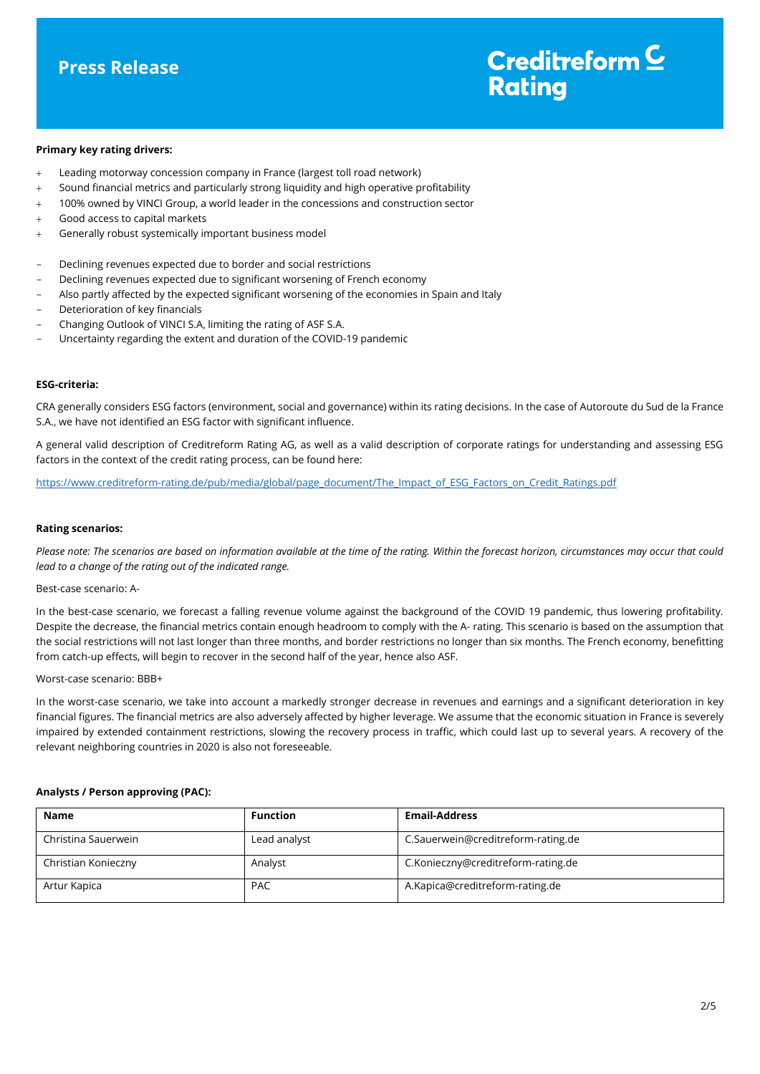

#### **Primary key rating drivers:**

- Leading motorway concession company in France (largest toll road network)
- Sound financial metrics and particularly strong liquidity and high operative profitability
- 100% owned by VINCI Group, a world leader in the concessions and construction sector
- Good access to capital markets
- Generally robust systemically important business model
- Declining revenues expected due to border and social restrictions
- Declining revenues expected due to significant worsening of French economy
- Also partly affected by the expected significant worsening of the economies in Spain and Italy
- Deterioration of key financials
- Changing Outlook of VINCI S.A, limiting the rating of ASF S.A.
- Uncertainty regarding the extent and duration of the COVID-19 pandemic

### **ESG-criteria:**

CRA generally considers ESG factors (environment, social and governance) within its rating decisions. In the case of Autoroute du Sud de la France S.A., we have not identified an ESG factor with significant influence.

A general valid description of Creditreform Rating AG, as well as a valid description of corporate ratings for understanding and assessing ESG factors in the context of the credit rating process, can be found here:

[https://www.creditreform-rating.de/pub/media/global/page\\_document/The\\_Impact\\_of\\_ESG\\_Factors\\_on\\_Credit\\_Ratings.pdf](https://www.creditreform-rating.de/pub/media/global/page_document/The_Impact_of_ESG_Factors_on_Credit_Ratings.pdf)

#### **Rating scenarios:**

*Please note: The scenarios are based on information available at the time of the rating. Within the forecast horizon, circumstances may occur that could lead to a change of the rating out of the indicated range.*

#### Best-case scenario: A-

In the best-case scenario, we forecast a falling revenue volume against the background of the COVID 19 pandemic, thus lowering profitability. Despite the decrease, the financial metrics contain enough headroom to comply with the A- rating. This scenario is based on the assumption that the social restrictions will not last longer than three months, and border restrictions no longer than six months. The French economy, benefitting from catch-up effects, will begin to recover in the second half of the year, hence also ASF.

#### Worst-case scenario: BBB+

In the worst-case scenario, we take into account a markedly stronger decrease in revenues and earnings and a significant deterioration in key financial figures. The financial metrics are also adversely affected by higher leverage. We assume that the economic situation in France is severely impaired by extended containment restrictions, slowing the recovery process in traffic, which could last up to several years. A recovery of the relevant neighboring countries in 2020 is also not foreseeable.

#### **Analysts / Person approving (PAC):**

| <b>Name</b>         | <b>Function</b> | <b>Email-Address</b>               |
|---------------------|-----------------|------------------------------------|
| Christina Sauerwein | Lead analyst    | C.Sauerwein@creditreform-rating.de |
| Christian Konieczny | Analyst         | C.Konieczny@creditreform-rating.de |
| Artur Kapica        | <b>PAC</b>      | A.Kapica@creditreform-rating.de    |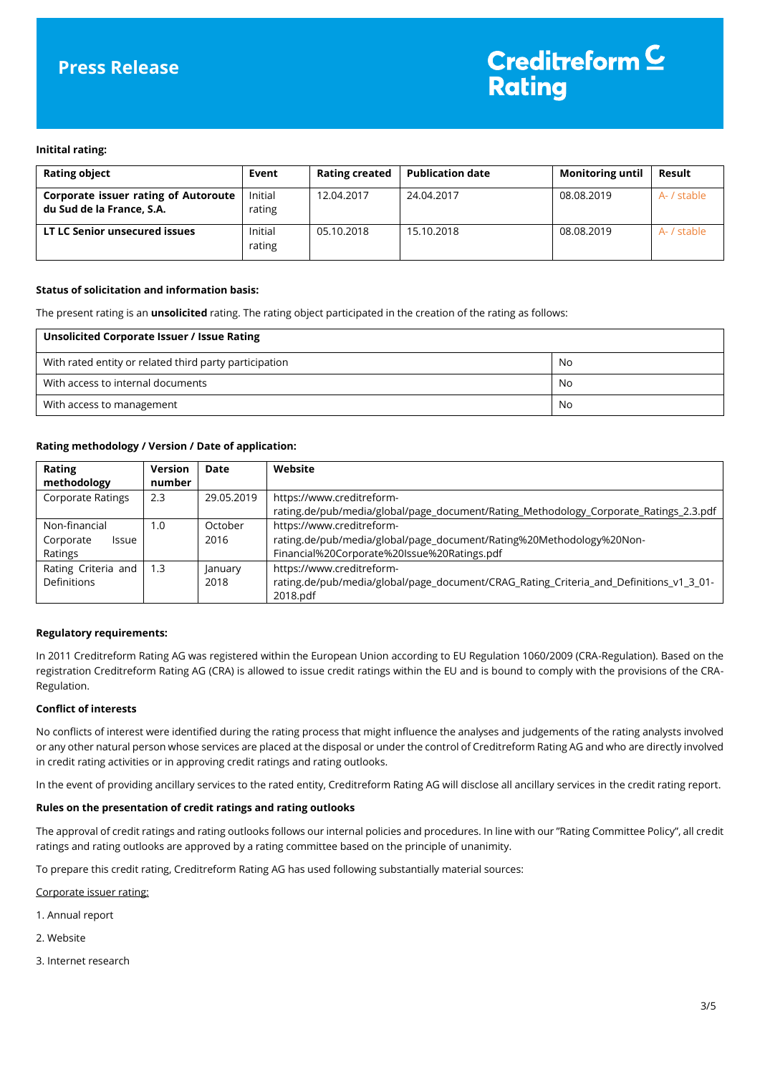# **Press Release**

#### **Initital rating:**

| <b>Rating object</b>                                              | Event             | <b>Rating created</b> | <b>Publication date</b> | <b>Monitoring until</b> | Result      |
|-------------------------------------------------------------------|-------------------|-----------------------|-------------------------|-------------------------|-------------|
| Corporate issuer rating of Autoroute<br>du Sud de la France, S.A. | Initial<br>rating | 12.04.2017            | 24.04.2017              | 08.08.2019              | A- / stable |
| LT LC Senior unsecured issues                                     | Initial<br>rating | 05.10.2018            | 15.10.2018              | 08.08.2019              | A- / stable |

### **Status of solicitation and information basis:**

The present rating is an **unsolicited** rating. The rating object participated in the creation of the rating as follows:

| Unsolicited Corporate Issuer / Issue Rating            |     |
|--------------------------------------------------------|-----|
| With rated entity or related third party participation | No  |
| With access to internal documents                      | No. |
| With access to management                              | No  |

## **Rating methodology / Version / Date of application:**

| Rating                    | Version | Date       | Website                                                                                |
|---------------------------|---------|------------|----------------------------------------------------------------------------------------|
| methodology               | number  |            |                                                                                        |
| <b>Corporate Ratings</b>  | 2.3     | 29.05.2019 | https://www.creditreform-                                                              |
|                           |         |            | rating.de/pub/media/global/page_document/Rating_Methodology_Corporate_Ratings_2.3.pdf  |
| Non-financial             | 1.0     | October    | https://www.creditreform-                                                              |
| Corporate<br><b>Issue</b> |         | 2016       | rating.de/pub/media/global/page_document/Rating%20Methodology%20Non-                   |
| Ratings                   |         |            | Financial%20Corporate%20Issue%20Ratings.pdf                                            |
| Rating Criteria and       | 1.3     | January    | https://www.creditreform-                                                              |
| Definitions               |         | 2018       | rating.de/pub/media/global/page_document/CRAG_Rating_Criteria_and_Definitions_v1_3_01- |
|                           |         |            | 2018.pdf                                                                               |

## **Regulatory requirements:**

In 2011 Creditreform Rating AG was registered within the European Union according to EU Regulation 1060/2009 (CRA-Regulation). Based on the registration Creditreform Rating AG (CRA) is allowed to issue credit ratings within the EU and is bound to comply with the provisions of the CRA-Regulation.

#### **Conflict of interests**

No conflicts of interest were identified during the rating process that might influence the analyses and judgements of the rating analysts involved or any other natural person whose services are placed at the disposal or under the control of Creditreform Rating AG and who are directly involved in credit rating activities or in approving credit ratings and rating outlooks.

In the event of providing ancillary services to the rated entity, Creditreform Rating AG will disclose all ancillary services in the credit rating report.

#### **Rules on the presentation of credit ratings and rating outlooks**

The approval of credit ratings and rating outlooks follows our internal policies and procedures. In line with our "Rating Committee Policy", all credit ratings and rating outlooks are approved by a rating committee based on the principle of unanimity.

To prepare this credit rating, Creditreform Rating AG has used following substantially material sources:

Corporate issuer rating:

- 1. Annual report
- 2. Website
- 3. Internet research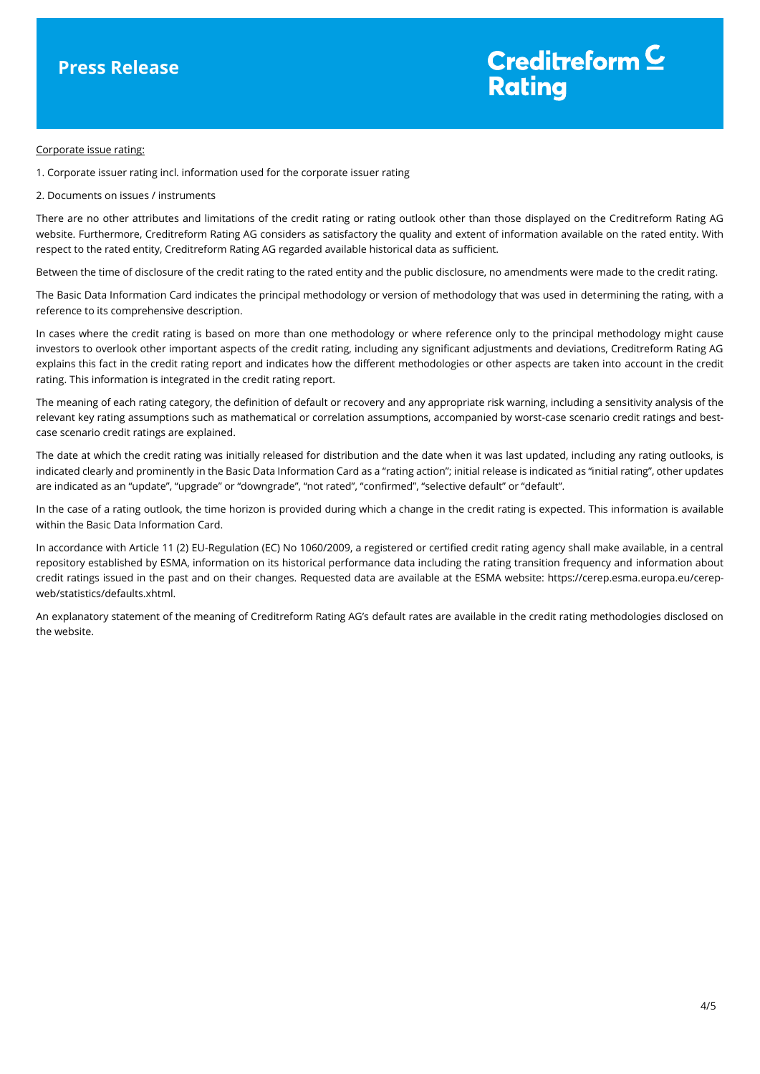# Creditreform  $\subseteq$ **Rating**

#### Corporate issue rating:

1. Corporate issuer rating incl. information used for the corporate issuer rating

2. Documents on issues / instruments

There are no other attributes and limitations of the credit rating or rating outlook other than those displayed on the Creditreform Rating AG website. Furthermore, Creditreform Rating AG considers as satisfactory the quality and extent of information available on the rated entity. With respect to the rated entity, Creditreform Rating AG regarded available historical data as sufficient.

Between the time of disclosure of the credit rating to the rated entity and the public disclosure, no amendments were made to the credit rating.

The Basic Data Information Card indicates the principal methodology or version of methodology that was used in determining the rating, with a reference to its comprehensive description.

In cases where the credit rating is based on more than one methodology or where reference only to the principal methodology might cause investors to overlook other important aspects of the credit rating, including any significant adjustments and deviations, Creditreform Rating AG explains this fact in the credit rating report and indicates how the different methodologies or other aspects are taken into account in the credit rating. This information is integrated in the credit rating report.

The meaning of each rating category, the definition of default or recovery and any appropriate risk warning, including a sensitivity analysis of the relevant key rating assumptions such as mathematical or correlation assumptions, accompanied by worst-case scenario credit ratings and bestcase scenario credit ratings are explained.

The date at which the credit rating was initially released for distribution and the date when it was last updated, including any rating outlooks, is indicated clearly and prominently in the Basic Data Information Card as a "rating action"; initial release is indicated as "initial rating", other updates are indicated as an "update", "upgrade" or "downgrade", "not rated", "confirmed", "selective default" or "default".

In the case of a rating outlook, the time horizon is provided during which a change in the credit rating is expected. This information is available within the Basic Data Information Card.

In accordance with Article 11 (2) EU-Regulation (EC) No 1060/2009, a registered or certified credit rating agency shall make available, in a central repository established by ESMA, information on its historical performance data including the rating transition frequency and information about credit ratings issued in the past and on their changes. Requested data are available at the ESMA website: https://cerep.esma.europa.eu/cerepweb/statistics/defaults.xhtml.

An explanatory statement of the meaning of Creditreform Rating AG's default rates are available in the credit rating methodologies disclosed on the website.